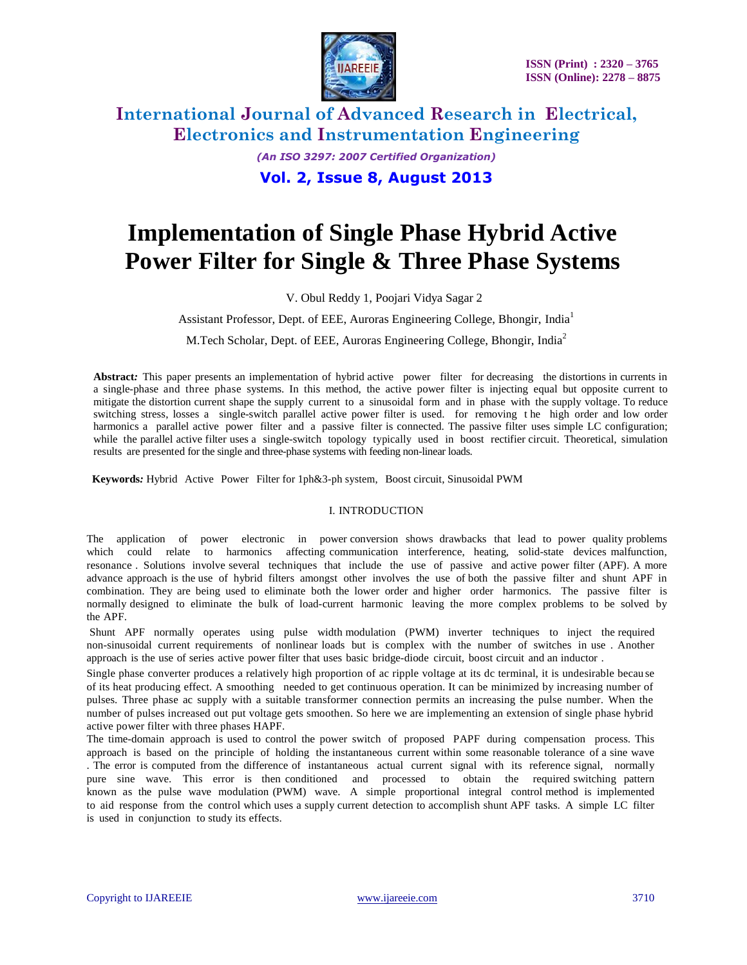

## **International Journal of Advanced Research in Electrical, Electronics and Instrumentation Engineering** *(An ISO 3297: 2007 Certified Organization)*

**Vol. 2, Issue 8, August 2013**

# **Implementation of Single Phase Hybrid Active Power Filter for Single & Three Phase Systems**

V. Obul Reddy 1, Poojari Vidya Sagar 2

Assistant Professor, Dept. of EEE, Auroras Engineering College, Bhongir, India<sup>1</sup>

M.Tech Scholar, Dept. of EEE, Auroras Engineering College, Bhongir, India<sup>2</sup>

**Abstract***:* This paper presents an implementation of hybrid active power filter for decreasing the distortions in currents in a single-phase and three phase systems. In this method, the active power filter is injecting equal but opposite current to mitigate the distortion current shape the supply current to a sinusoidal form and in phase with the supply voltage. To reduce switching stress, losses a single-switch parallel active power filter is used. for removing t he high order and low order harmonics a parallel active power filter and a passive filter is connected. The passive filter uses simple LC configuration; while the parallel active filter uses a single-switch topology typically used in boost rectifier circuit. Theoretical, simulation results are presented for the single and three-phase systems with feeding non-linear loads.

**Keywords***:* Hybrid Active Power Filter for 1ph&3-ph system, Boost circuit, Sinusoidal PWM

### I. INTRODUCTION

The application of power electronic in power conversion shows drawbacks that lead to power quality problems which could relate to harmonics affecting communication interference, heating, solid-state devices malfunction, resonance . Solutions involve several techniques that include the use of passive and active power filter (APF). A more advance approach is the use of hybrid filters amongst other involves the use of both the passive filter and shunt APF in combination. They are being used to eliminate both the lower order and higher order harmonics. The passive filter is normally designed to eliminate the bulk of load-current harmonic leaving the more complex problems to be solved by the APF.

Shunt APF normally operates using pulse width modulation (PWM) inverter techniques to inject the required non-sinusoidal current requirements of nonlinear loads but is complex with the number of switches in use . Another approach is the use of series active power filter that uses basic bridge-diode circuit, boost circuit and an inductor .

Single phase converter produces a relatively high proportion of ac ripple voltage at its dc terminal, it is undesirable becau se of its heat producing effect. A smoothing needed to get continuous operation. It can be minimized by increasing number of pulses. Three phase ac supply with a suitable transformer connection permits an increasing the pulse number. When the number of pulses increased out put voltage gets smoothen. So here we are implementing an extension of single phase hybrid active power filter with three phases HAPF.

The time-domain approach is used to control the power switch of proposed PAPF during compensation process. This approach is based on the principle of holding the instantaneous current within some reasonable tolerance of a sine wave . The error is computed from the difference of instantaneous actual current signal with its reference signal, normally pure sine wave. This error is then conditioned and processed to obtain the required switching pattern known as the pulse wave modulation (PWM) wave. A simple proportional integral control method is implemented to aid response from the control which uses a supply current detection to accomplish shunt APF tasks. A simple LC filter is used in conjunction to study its effects.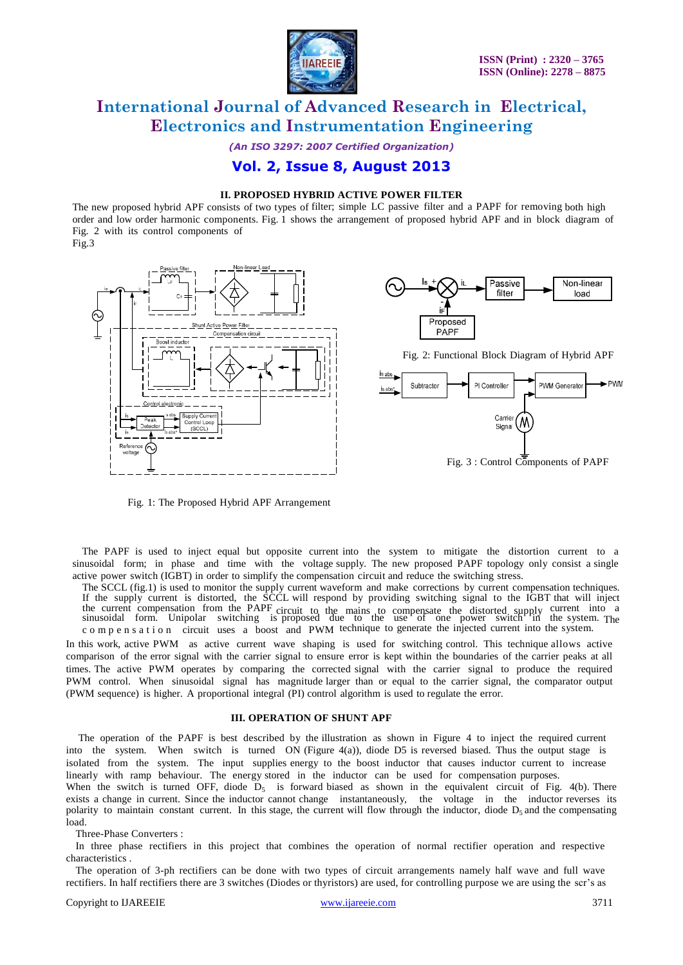

*(An ISO 3297: 2007 Certified Organization)*

### **Vol. 2, Issue 8, August 2013**

### **II. PROPOSED HYBRID ACTIVE POWER FILTER**

The new proposed hybrid APF consists of two types of filter; simple LC passive filter and a PAPF for removing both high order and low order harmonic components. Fig. 1 shows the arrangement of proposed hybrid APF and in block diagram of Fig. 2 with its control components of







Fig. 2: Functional Block Diagram of Hybrid APF



Fig. 1: The Proposed Hybrid APF Arrangement

The PAPF is used to inject equal but opposite current into the system to mitigate the distortion current to a sinusoidal form; in phase and time with the voltage supply. The new proposed PAPF topology only consist a single active power switch (IGBT) in order to simplify the compensation circuit and reduce the switching stress.

The SCCL (fig.1) is used to monitor the supply current waveform and make corrections by current compensation techniques. If the supply current is distorted, the SCCL will respond by providing switching signal to the IGBT that will inject the current compensation from the PAPF circuit to the mains to compensate the distorted supply current into a sinusoidal form. Unipolar switching is proposed due to the use of one power switch in the system. The c o m p e n s a t i o n circuit uses a boost and PWM technique to generate the injected current into the system.

In this work, active PWM as active current wave shaping is used for switching control. This technique allows active comparison of the error signal with the carrier signal to ensure error is kept within the boundaries of the carrier peaks at all times. The active PWM operates by comparing the corrected signal with the carrier signal to produce the required PWM control. When sinusoidal signal has magnitude larger than or equal to the carrier signal, the comparator output (PWM sequence) is higher. A proportional integral (PI) control algorithm is used to regulate the error.

#### **III. OPERATION OF SHUNT APF**

The operation of the PAPF is best described by the illustration as shown in Figure 4 to inject the required current into the system. When switch is turned ON (Figure 4(a)), diode D5 is reversed biased. Thus the output stage is isolated from the system. The input supplies energy to the boost inductor that causes inductor current to increase linearly with ramp behaviour. The energy stored in the inductor can be used for compensation purposes.

When the switch is turned OFF, diode  $D_5$  is forward biased as shown in the equivalent circuit of Fig. 4(b). There exists a change in current. Since the inductor cannot change instantaneously, the voltage in the inductor reverses its polarity to maintain constant current. In this stage, the current will flow through the inductor, diode  $D_5$  and the compensating load.

Three-Phase Converters :

In three phase rectifiers in this project that combines the operation of normal rectifier operation and respective characteristics .

The operation of 3-ph rectifiers can be done with two types of circuit arrangements namely half wave and full wave rectifiers. In half rectifiers there are 3 switches (Diodes or thyristors) are used, for controlling purpose we are using the scr's as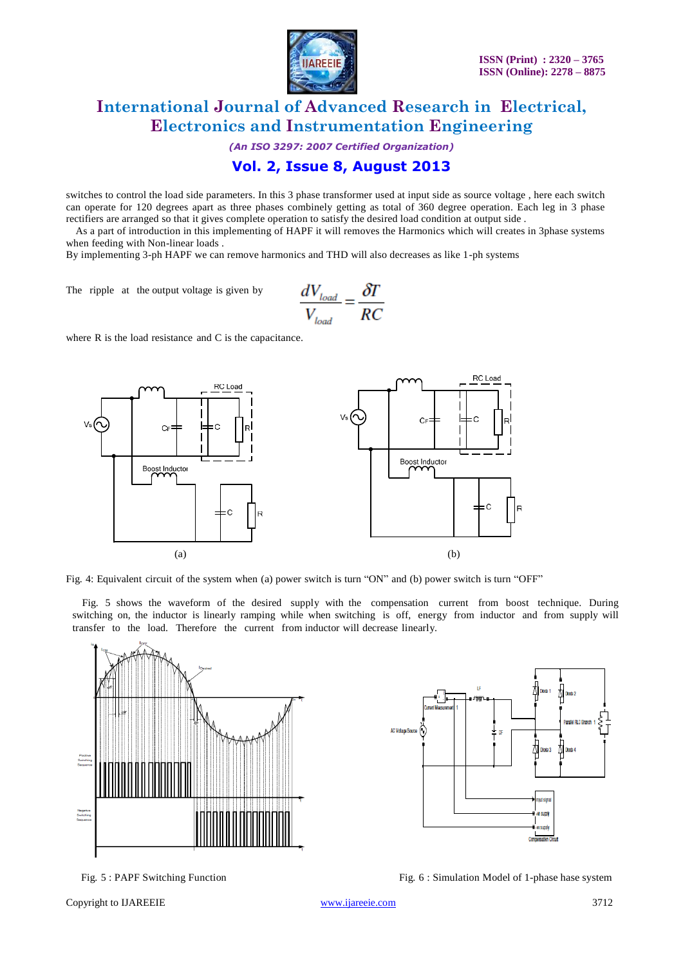

*(An ISO 3297: 2007 Certified Organization)*

### **Vol. 2, Issue 8, August 2013**

switches to control the load side parameters. In this 3 phase transformer used at input side as source voltage , here each switch can operate for 120 degrees apart as three phases combinely getting as total of 360 degree operation. Each leg in 3 phase rectifiers are arranged so that it gives complete operation to satisfy the desired load condition at output side .

As a part of introduction in this implementing of HAPF it will removes the Harmonics which will creates in 3phase systems when feeding with Non-linear loads .

By implementing 3-ph HAPF we can remove harmonics and THD will also decreases as like 1-ph systems

The ripple at the output voltage is given by

$$
\frac{dV_{load}}{V_{load}} = \frac{\delta T}{RC}
$$

where R is the load resistance and C is the capacitance.



Fig. 4: Equivalent circuit of the system when (a) power switch is turn "ON" and (b) power switch is turn "OFF"

Fig. 5 shows the waveform of the desired supply with the compensation current from boost technique. During switching on, the inductor is linearly ramping while when switching is off, energy from inductor and from supply will transfer to the load. Therefore the current from inductor will decrease linearly.



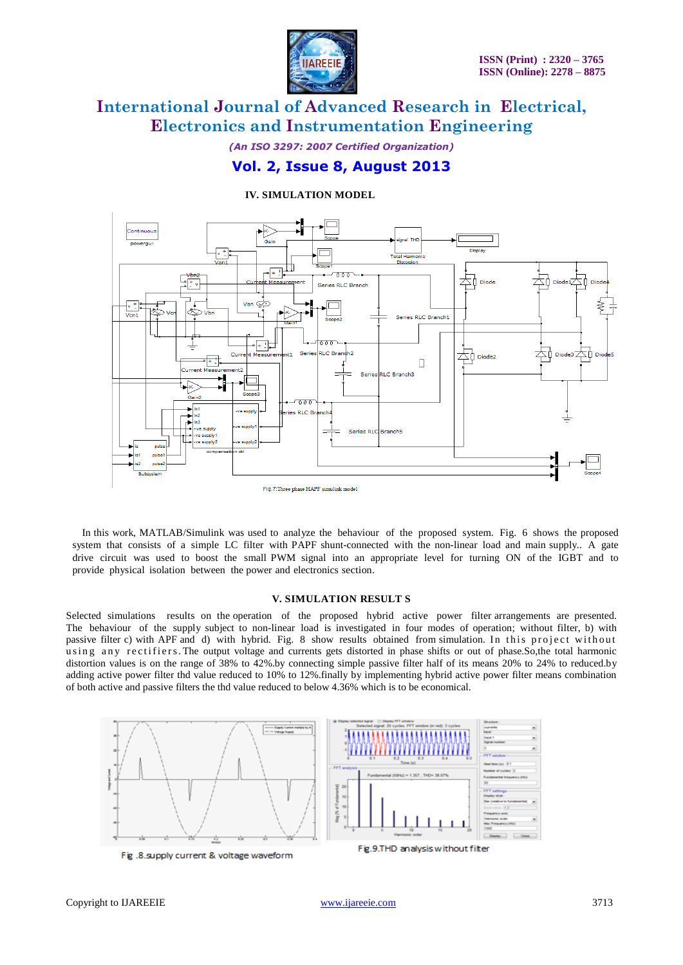

*(An ISO 3297: 2007 Certified Organization)*

### **Vol. 2, Issue 8, August 2013**

### **IV. SIMULATION MODEL**



In this work, MATLAB/Simulink was used to analyze the behaviour of the proposed system. Fig. 6 shows the proposed system that consists of a simple LC filter with PAPF shunt-connected with the non-linear load and main supply.. A gate drive circuit was used to boost the small PWM signal into an appropriate level for turning ON of the IGBT and to provide physical isolation between the power and electronics section.

### **V. SIMULATION RESULT S**

Selected simulations results on the operation of the proposed hybrid active power filter arrangements are presented. The behaviour of the supply subject to non-linear load is investigated in four modes of operation; without filter, b) with passive filter c) with APF and d) with hybrid. Fig. 8 show results obtained from simulation. In this project without using any rectifiers. The output voltage and currents gets distorted in phase shifts or out of phase. So, the total harmonic distortion values is on the range of 38% to 42%.by connecting simple passive filter half of its means 20% to 24% to reduced.by adding active power filter thd value reduced to 10% to 12%.finally by implementing hybrid active power filter means combination of both active and passive filters the thd value reduced to below 4.36% which is to be economical.

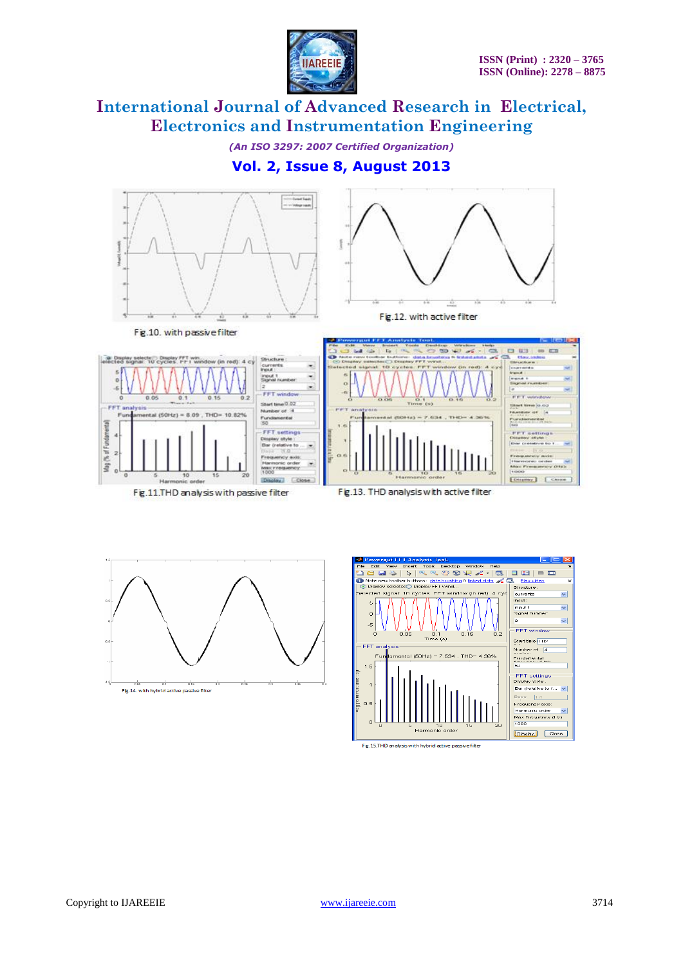

*(An ISO 3297: 2007 Certified Organization)*

### **Vol. 2, Issue 8, August 2013**









Fig.15.THD analysis with hybrid active passive filter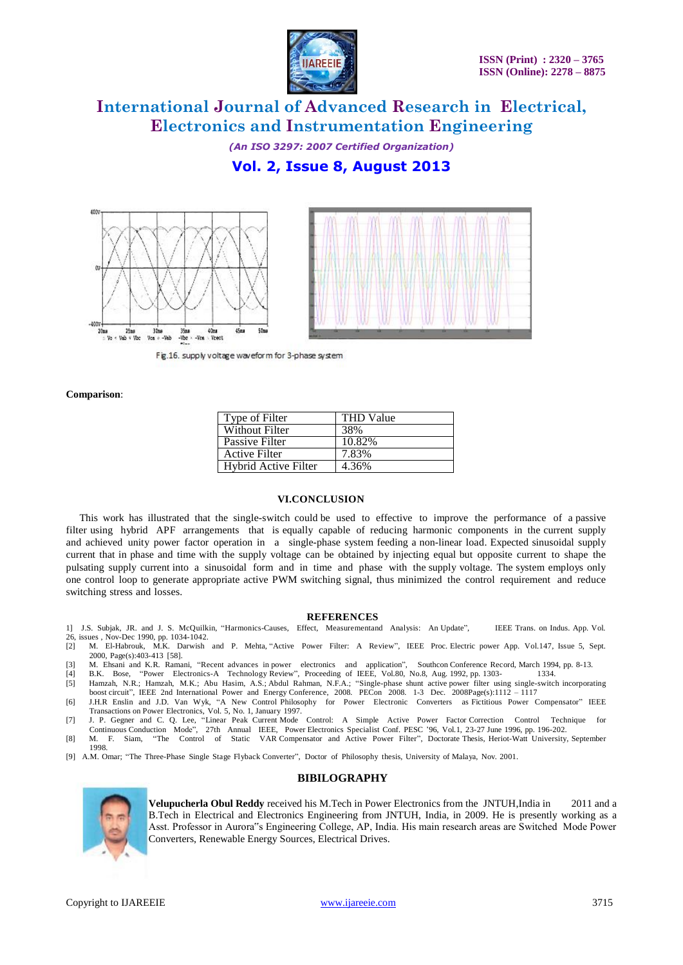

*(An ISO 3297: 2007 Certified Organization)*

### **Vol. 2, Issue 8, August 2013**





Fig.16. supply voltage waveform for 3-phase system

**Comparison**:

| Type of Filter              | <b>THD Value</b> |
|-----------------------------|------------------|
| <b>Without Filter</b>       | 38%              |
| Passive Filter              | 10.82%           |
| <b>Active Filter</b>        | 7.83%            |
| <b>Hybrid Active Filter</b> | 4.36%            |

### **VI.CONCLUSION**

This work has illustrated that the single-switch could be used to effective to improve the performance of a passive filter using hybrid APF arrangements that is equally capable of reducing harmonic components in the current supply and achieved unity power factor operation in a single-phase system feeding a non-linear load. Expected sinusoidal supply current that in phase and time with the supply voltage can be obtained by injecting equal but opposite current to shape the pulsating supply current into a sinusoidal form and in time and phase with the supply voltage. The system employs only one control loop to generate appropriate active PWM switching signal, thus minimized the control requirement and reduce switching stress and losses.

#### **REFERENCES**

- 1] J.S. Subjak, JR. and J. S. McQuilkin, "Harmonics-Causes, Effect, Measurementand Analysis: An Update", IEEE Trans. on Indus. App. Vol.
- 26, issues , Nov-Dec 1990, pp. 1034-1042.<br>[2] M. El-Habrouk. M.K. Darwish [2] M. El-Habrouk, M.K. Darwish and P. Mehta, "Active Power Filter: A Review", IEEE Proc. Electric power App. Vol.147, Issue 5, Sept. 2000, Page(s):403-413 [58].
- [3] M. Ehsani and K.R. Ramani, "Recent advances in power electronics and application", Southcon Conference Record, March 1994, pp. 8-13.
- [4] B.K. Bose, "Power Electronics-A Technology Review", Proceeding of IEEE, Vol.80, No.8, Aug. 1992, pp. 1303- 1334.
- [5] Hamzah, N.R.; Hamzah, M.K.; Abu Hasim, A.S.; Abdul Rahman, N.F.A.; "Single-phase shunt active power filter using single-switch incorporating boost circuit", IEEE 2nd International Power and Energy Conference, 2008. PECon 2008. 1-3 Dec. 2008Page(s):1112 – 1117
- [6] J.H.R Enslin and J.D. Van Wyk, "A New Control Philosophy for Power Electronic Converters as Fictitious Power Compensator" IEEE Transactions on Power Electronics, Vol. 5, No. 1, January 1997.
- [7] J. P. Gegner and C. Q. Lee, "Linear Peak Current Mode Control: A Simple Active Power Factor Correction Control Technique for Continuous Conduction Mode", 27th Annual IEEE, Power Electronics Specialist Conf. PESC '96, Vol.1, 23-27 June 1996, pp. 196-202. [8] M. F. Siam, "The Control of Static VAR Compensator and Active Power Filter", Doctorate Thesis, Heriot-Watt University, September ....<br>1998.
- [9] A.M. Omar; "The Three-Phase Single Stage Flyback Converter", Doctor of Philosophy thesis, University of Malaya, Nov. 2001.

#### **BIBILOGRAPHY**



**Velupucherla Obul Reddy** received his M.Tech in Power Electronics from the JNTUH,India in 2011 and a B.Tech in Electrical and Electronics Engineering from JNTUH, India, in 2009. He is presently working as a Asst. Professor in Aurora"s Engineering College, AP, India. His main research areas are Switched Mode Power Converters, Renewable Energy Sources, Electrical Drives.